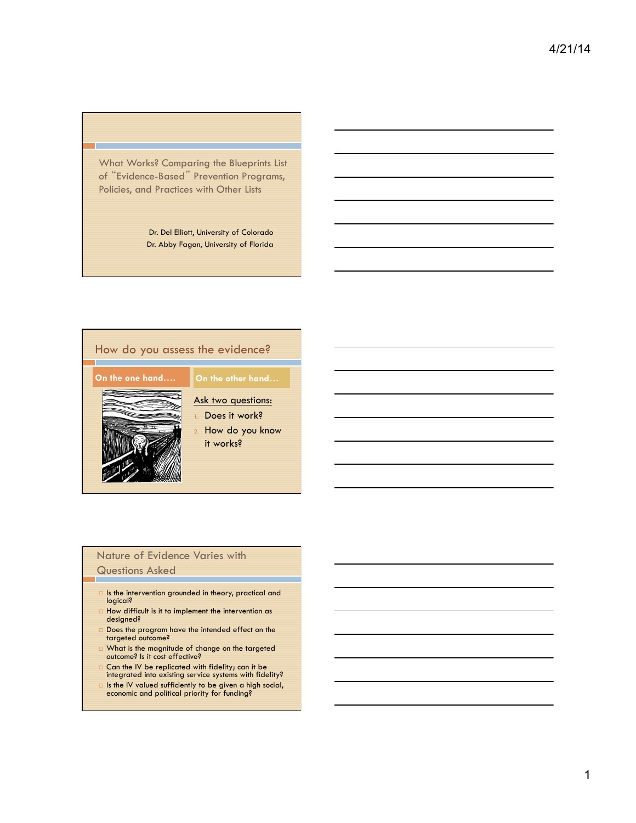What Works? Comparing the Blueprints List of "Evidence-Based" Prevention Programs, Policies, and Practices with Other Lists

> Dr. Del Elliott, University of Colorado Dr. Abby Fagan, University of Florida



### Nature of Evidence Varies with Questions Asked

- □ Is the intervention grounded in theory, practical and logical?
- $\Box$  How difficult is it to implement the intervention as designed?
- $\Box$  Does the program have the intended effect on the targeted outcome?
- $\Box$  What is the magnitude of change on the targeted outcome? Is it cost effective?
- $\Box$  Can the IV be replicated with fidelity; can it be integrated into existing service systems with fidelity?
- □ Is the IV valued sufficiently to be given a high social, economic and political priority for funding?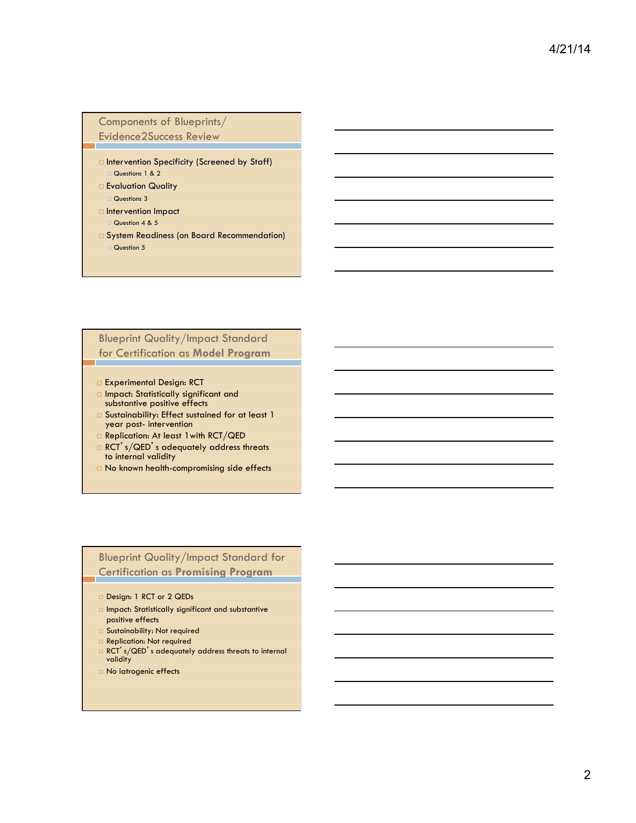### Components of Blueprints/ Evidence2Success Review

- $\square$  Intervention Specificity (Screened by Staff) Questions 1 & 2
- □ Evaluation Quality
- Questions 3 □ Intervention Impact
- Question 4 & 5
- □ System Readiness (on Board Recommendation) Question 5

# Blueprint Quality/Impact Standard for Certification as **Model Program**

- ¨ Experimental Design: RCT
- ¨ Impact: Statistically significant and substantive positive effects
- □ Sustainability: Effect sustained for at least 1 year post- intervention
- □ Replication: At least 1 with RCT/QED
- $\Box$  RCT's/QED's adequately address threats to internal validity
- □ No known health-compromising side effects

## Blueprint Quality/Impact Standard for Certification as **Promising Program**

- Design: 1 RCT or 2 QEDs
- ¨ Impact: Statistically significant and substantive positive effects
- Sustainability: Not required
- □ Replication: Not required
- □ RCT's/QED's adequately address threats to internal validity
- ¨ No iatrogenic effects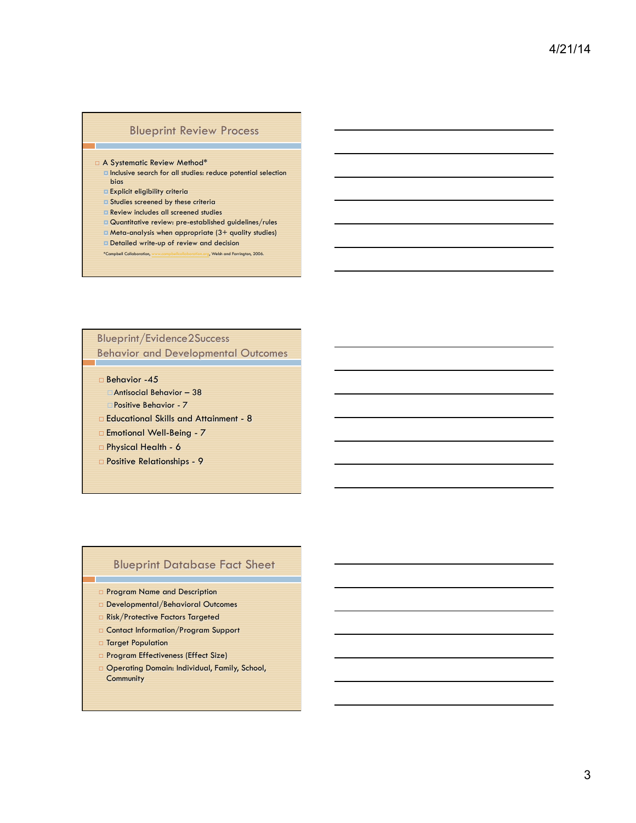### Blueprint Review Process

### □ A Systematic Review Method<sup>\*</sup>

- **E** Inclusive search for all studies: reduce potential selection bias
- ¤ Explicit eligibility criteria
- **E** Studies screened by these criteria
- ¤ Review includes all screened studies
- ¤ Quantitative review: pre-established guidelines/rules
- ¤ Meta-analysis when appropriate (3+ quality studies)
- ¤ Detailed write-up of review and decision \*Campbell Collaboration, www.campbellcollaboration.org, Welsh and Farrington, 2006.

## Blueprint/Evidence2Success

Behavior and Developmental Outcomes

□ Behavior -45

□ Antisocial Behavior - 38

¨Positive Behavior - 7

- ¨ Educational Skills and Attainment 8
- □ Emotional Well-Being 7
- □ Physical Health 6
- ¨ Positive Relationships 9

### Blueprint Database Fact Sheet

- ¨ Program Name and Description
- □ Developmental/Behavioral Outcomes
- □ Risk/Protective Factors Targeted
- □ Contact Information/Program Support
- □ Target Population
- D Program Effectiveness (Effect Size)
- □ Operating Domain: Individual, Family, School, **Community**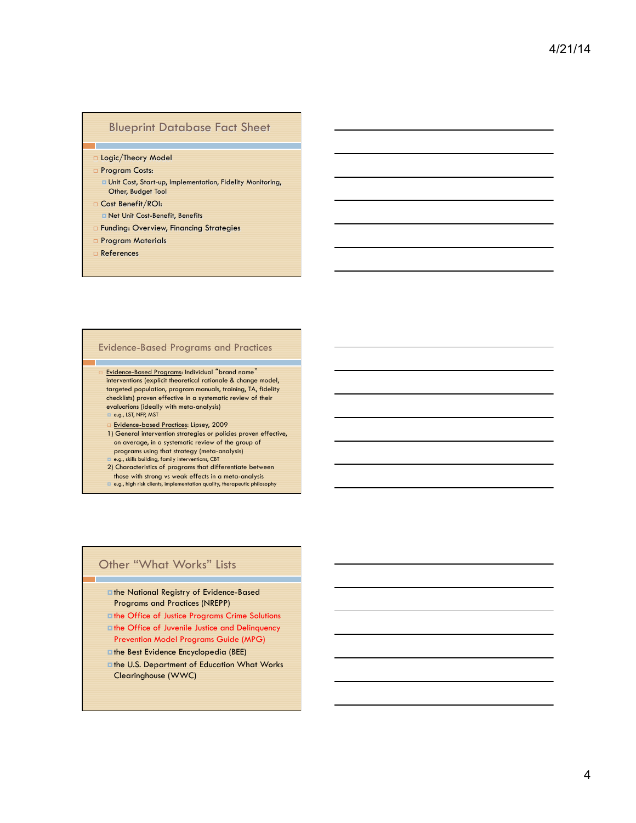### Blueprint Database Fact Sheet

- □ Logic/Theory Model
- □ Program Costs:
	- ¤ Unit Cost, Start-up, Implementation, Fidelity Monitoring, Other, Budget Tool
- □ Cost Benefit/ROI:
	- ¤ Net Unit Cost-Benefit, Benefits
- □ Funding: Overview, Financing Strategies
- □ Program Materials
- ¨ References

### Evidence-Based Programs and Practices

- ¨ Evidence-Based Programs: Individual "brand name" interventions (explicit theoretical rationale & change model, targeted population, program manuals, training, TA, fidelity checklists) proven effective in a systematic review of their evaluations (ideally with meta-analysis) ■ e.g., LST, NFP, MST
	- **Evidence-based Practices: Lipsey, 2009**
	- 1) General intervention strategies or policies proven effective, on average, in a systematic review of the group of programs using that strategy (meta-analysis)
	- e.g., skills building, family interventions, CBT
	- 2) Characteristics of programs that differentiate between those with strong vs weak effects in a meta-analysis ¤ e.g., high risk clients, implementation quality, therapeutic philosophy

### Other "What Works" Lists

- ¤the National Registry of Evidence-Based Programs and Practices (NREPP)
- ¤the Office of Justice Programs Crime Solutions *Ethe Office of Juvenile Justice and Delinquency* Prevention Model Programs Guide (MPG)
- ¤the Best Evidence Encyclopedia (BEE)
- ¤the U.S. Department of Education What Works Clearinghouse (WWC)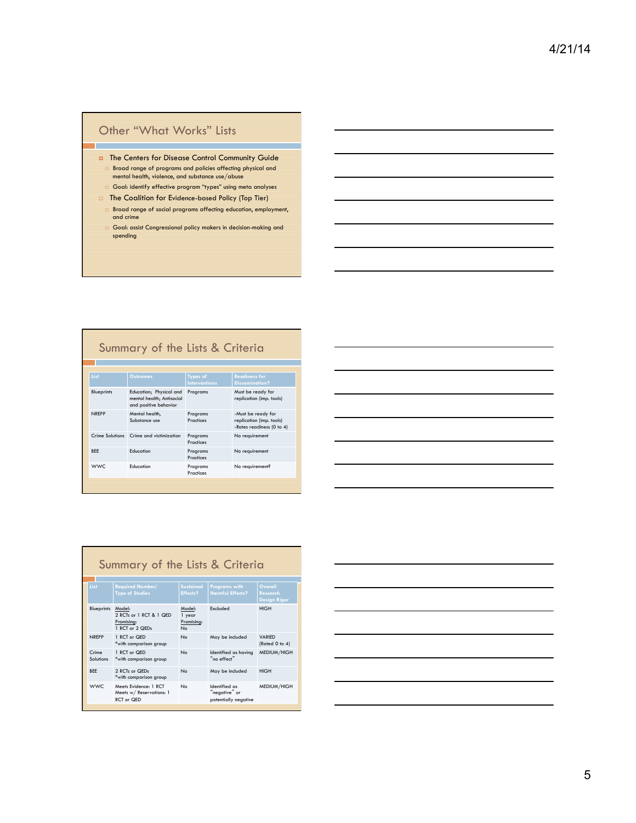# Other "What Works" Lists

T

- ¤ The Centers for Disease Control Community Guide □ Broad range of programs and policies affecting physical and<br>mental health, violence, and substance use/abuse  $\Box$  Goal: identify effective program "types" using meta analyses
- □ The Coalition for Evidence-based Policy (Top Tier)
- $\Box$  Broad range of social programs affecting education, employment, and crime
- $\Box$  Goal: assist Congressional policy makers in decision-making and spending

| Summary of the Lists & Criteria |                   |                                                                               |                                  |                                                                             |  |  |
|---------------------------------|-------------------|-------------------------------------------------------------------------------|----------------------------------|-----------------------------------------------------------------------------|--|--|
|                                 | List              | <b>Outcomes</b>                                                               | Types of<br><b>Interventions</b> | <b>Readiness for</b><br><b>Dissemination?</b>                               |  |  |
|                                 | <b>Blueprints</b> | Education; Physical and<br>mental health; Antisocial<br>and positive behavior | Programs                         | Must be ready for<br>replication (imp. tools)                               |  |  |
|                                 | NRFPP             | Mental health,<br>Substance use                                               | Programs<br>Practices            | -Must be ready for<br>replication (imp. tools)<br>-Rates readiness (0 to 4) |  |  |
|                                 |                   | Crime Solutions Crime and victimization                                       | Programs<br>Practices            | No requirement                                                              |  |  |
|                                 | <b>BFF</b>        | Education                                                                     | Programs<br>Practices            | No requirement                                                              |  |  |
|                                 | <b>WWC</b>        | Education                                                                     | Programs<br>Practices            | No requirement?                                                             |  |  |
|                                 |                   |                                                                               |                                  |                                                                             |  |  |

| the control of the control of the |  |  |
|-----------------------------------|--|--|

| Summary of the Lists & Criteria |                   |                                                                    |                                                  |                                                        |                                                   |  |
|---------------------------------|-------------------|--------------------------------------------------------------------|--------------------------------------------------|--------------------------------------------------------|---------------------------------------------------|--|
| List                            |                   | <b>Required Number/</b><br><b>Type of Studies</b>                  | <b>Sustained</b><br>Effects?                     | <b>Programs with</b><br><b>Harmful Effects?</b>        | Overall<br><b>Research</b><br><b>Design Rigor</b> |  |
|                                 | <b>Blueprints</b> | Model:<br>2 RCTs or 1 RCT & 1 QED<br>Promising:<br>1 RCT or 2 QEDs | Model:<br>1 year<br>Promising:<br>N <sub>o</sub> | Excluded                                               | <b>HIGH</b>                                       |  |
|                                 | <b>NREPP</b>      | 1 RCT or QED<br>*with comparison group                             | N <sub>o</sub>                                   | May be included                                        | <b>VARIED</b><br>(Rated 0 to 4)                   |  |
| Crime                           | Solutions         | 1 RCT or QED<br>*with comparison group                             | No                                               | Identified as having<br>"no effect"                    | MEDIUM/HIGH                                       |  |
| <b>BFF</b>                      |                   | 2 RCTs or QEDs<br>*with comparison group                           | No                                               | May be included                                        | <b>HIGH</b>                                       |  |
|                                 | WWC.              | Meets Evidence: 1 RCT<br>Meets w/ Reservations: 1<br>RCT or QED    | No                                               | Identified as<br>"negative" or<br>potentially negative | MEDIUM/HIGH                                       |  |

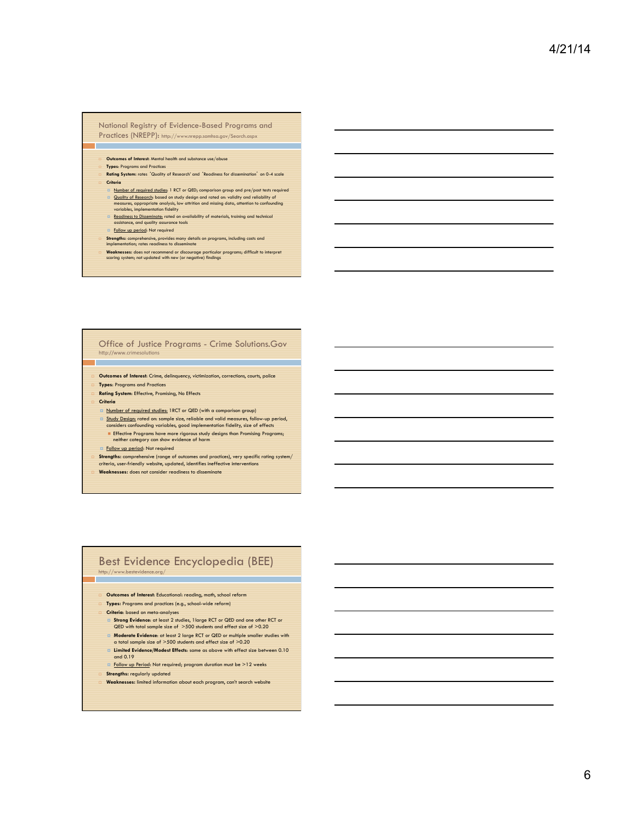### National Registry of Evidence-Based Programs and Practices (NREPP): http://www.nrepp.samhsa.gov/Search.aspx

- ¨ **Outcomes of Interest**: Mental health and substance use/abuse
- ¨ **Types**: Programs and Practices
- ¨ **Rating System:** rates 'Quality of Research' and 'Readiness for dissemination' on 0-4 scale ¨ **Criteria**
- ¤ Number of required studies: 1 RCT or QED; comparison group and pre/post tests required **¤** Quality of Research: based on study design and rated on: validity and reliability of measures, appropriate analysis, low attrition and missing data, attention to confounding variables, implementation fidelity with a st
- **Examples 20 and Septeminate:** rated on availability of materials, training and technical assistance, and quality assurance tools
- Follow up period: Not required
- 
- **In Strengths:** comprehensive, provides many details on programs, including costs and implementation; rates readiness to disseminate
- **Weaknesses:** does not recommend or discourage particular programs; difficult to interpret scoring system; not updated with new (or negative) findings

#### Office of Justice Programs - Crime Solutions.Gov http://www.crimesolutions

- ¨ **Outcomes of Interest**: Crime, delinquency, victimization, corrections, courts, police
- **Types: Programs and Practices**
- **Rating System: Effective, Promising, No Effects**
- ¨ **Criteria** 
	- ¤ Number of required studies: 1RCT or QED (with a comparison group)
	- **a** Study Design: rated on: sample size, reliable and valid measures, follow-up period, considers confounding variables, good implementation fidelity, size of effects
	- **Effective Programs have more rigorous study designs than Promising Programs;** neither category can show evidence of harm **E** Follow up period: Not required
- 
- **The Strengths:** comprehensive (range of outcomes and practices), very specific rating system/<br>criteria, user-friendly website, updated, identifies ineffective interventions
- ¨ **Weaknesses:** does not consider readiness to disseminate

#### Best Evidence Encyclopedia (BEE) http://www.bestevidence.org/

- ¨ **Outcomes of Interest**: Educational: reading, math, school reform
- ¨ **Types:** Programs and practices (e.g., school-wide reform)
- ¨ **Criteria**: based on meta-analyses
- ¤ **Strong Evidence**: at least 2 studies, 1large RCT or QED and one other RCT or QED with total sample size of >500 students and effect size of >0.20
- **Moderate Evidence**: at least 2 large RCT or QED or multiple smaller studies with a total sample size of >500 students and effect size of >0.20
- **E Limited Evidence/Modest Effects:** same as above with effect size between 0.10 and 0.19
- ¤ Follow up Period: Not required; program duration must be >12 weeks
- Strengths: regularly updated
- ¨ **Weaknesses:** limited information about each program, can't search website